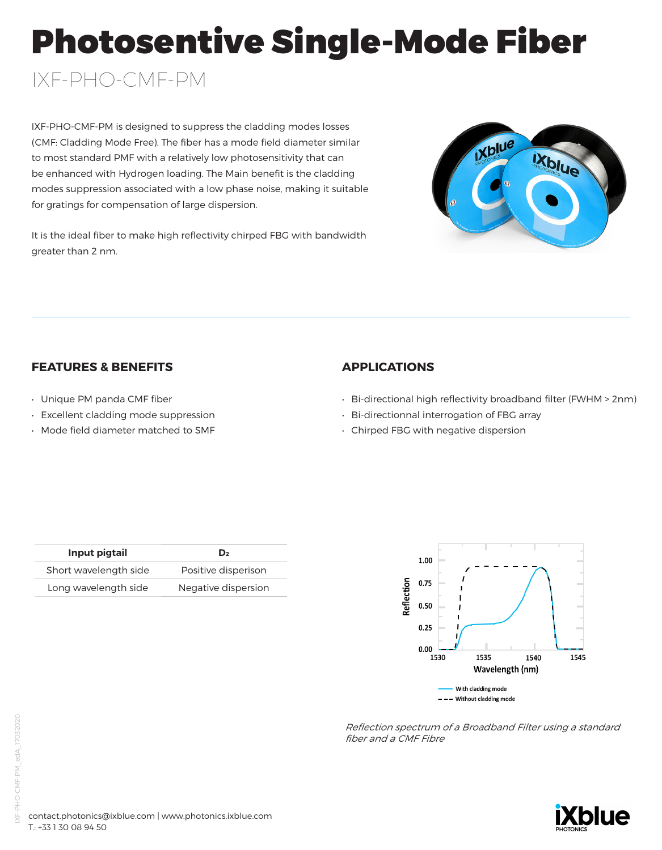# Photosentive Single-Mode Fiber

# IXF-PHO-CMF-PM

IXF-PHO-CMF-PM is designed to suppress the cladding modes losses (CMF: Cladding Mode Free). The fiber has a mode field diameter similar to most standard PMF with a relatively low photosensitivity that can be enhanced with Hydrogen loading. The Main benefit is the cladding modes suppression associated with a low phase noise, making it suitable for gratings for compensation of large dispersion.

It is the ideal fiber to make high reflectivity chirped FBG with bandwidth greater than 2 nm.



# **FEATURES & BENEFITS**

- Unique PM panda CMF fiber
- Excellent cladding mode suppression
- Mode field diameter matched to SMF

## **APPLICATIONS**

- Bi-directional high reflectivity broadband filter (FWHM > 2nm)
- Bi-directionnal interrogation of FBG array
- Chirped FBG with negative dispersion

| Input pigtail         | D <sub>2</sub>      |
|-----------------------|---------------------|
| Short wavelength side | Positive disperison |
| Long wavelength side  | Negative dispersion |



Reflection spectrum of a Broadband Filter using a standard fiber and a CMF Fibre